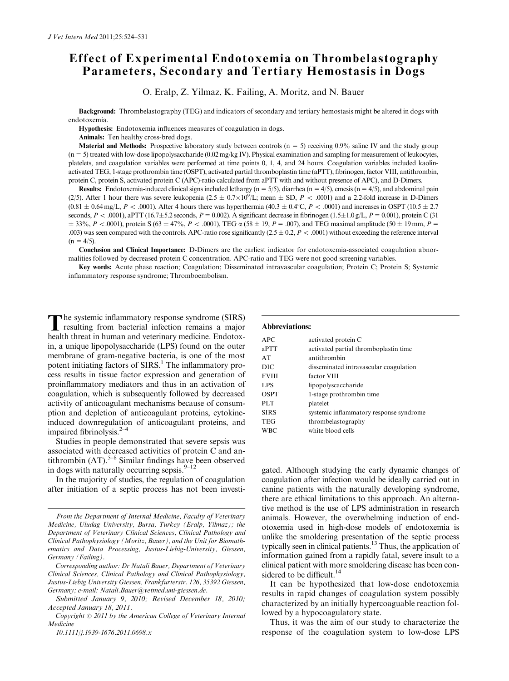# Effect of Experimental Endotoxemia on Thrombelastography Parameters, Secondary and Tertiary Hemostasis in Dogs

O. Eralp, Z. Yilmaz, K. Failing, A. Moritz, and N. Bauer

Background: Thrombelastography (TEG) and indicators of secondary and tertiary hemostasis might be altered in dogs with endotoxemia.

Hypothesis: Endotoxemia influences measures of coagulation in dogs.

Animals: Ten healthy cross-bred dogs.

Material and Methods: Prospective laboratory study between controls  $(n = 5)$  receiving 0.9% saline IV and the study group  $(n = 5)$  treated with low-dose lipopolysaccharide  $(0.02 \text{ mg/kg IV})$ . Physical examination and sampling for measurement of leukocytes, platelets, and coagulation variables were performed at time points 0, 1, 4, and 24 hours. Coagulation variables included kaolinactivated TEG, 1-stage prothrombin time (OSPT), activated partial thromboplastin time (aPTT), fibrinogen, factor VIII, antithrombin, protein C, protein S, activated protein C (APC)-ratio calculated from aPTT with and without presence of APC), and D-Dimers.

**Results:** Endotoxemia-induced clinical signs included lethargy  $(n = 5/5)$ , diarrhea  $(n = 4/5)$ , emesis  $(n = 4/5)$ , and abdominal pain (2/5). After 1 hour there was severe leukopenia  $(2.5 \pm 0.7 \times 10^9)$ L; mean  $\pm$  SD, P < .0001) and a 2.2-fold increase in D-Dimers  $(0.81 \pm 0.64 \,\text{mg/L}, P < .0001)$ . After 4 hours there was hyperthermia  $(40.3 \pm 0.4^{\circ}\text{C}, P < .0001)$  and increases in OSPT  $(10.5 \pm 2.7$ seconds,  $P < .0001$ ), aPTT (16.7±5.2 seconds,  $P = 0.002$ ). A significant decrease in fibrinogen (1.5±1.0 g/L,  $P = 0.001$ ), protein C (31  $\pm$  33%, P < .0001), protein S (63  $\pm$  47%, P < .0001), TEG  $\alpha$  (58  $\pm$  19, P = .007), and TEG maximal amplitude (50  $\pm$  19 mm, P = .003) was seen compared with the controls. APC-ratio rose significantly  $(2.5 \pm 0.2, P < .0001)$  without exceeding the reference interval  $(n = 4/5)$ .

Conclusion and Clinical Importance: D-Dimers are the earliest indicator for endotoxemia-associated coagulation abnormalities followed by decreased protein C concentration. APC-ratio and TEG were not good screening variables.

Key words: Acute phase reaction; Coagulation; Disseminated intravascular coagulation; Protein C; Protein S; Systemic inflammatory response syndrome; Thromboembolism.

The systemic inflammatory response syndrome (SIRS)<br>resulting from bacterial infection remains a major health threat in human and veterinary medicine. Endotoxin, a unique lipopolysaccharide (LPS) found on the outer membrane of gram-negative bacteria, is one of the most potent initiating factors of  $SIRS<sup>1</sup>$ . The inflammatory process results in tissue factor expression and generation of proinflammatory mediators and thus in an activation of coagulation, which is subsequently followed by decreased activity of anticoagulant mechanisms because of consumption and depletion of anticoagulant proteins, cytokineinduced downregulation of anticoagulant proteins, and impaired fibrinolysis. $2-4$ 

Studies in people demonstrated that severe sepsis was associated with decreased activities of protein C and antithrombin  $(AT)$ .<sup>5–8</sup> Similar findings have been observed in dogs with naturally occurring sepsis. $9-12$ 

In the majority of studies, the regulation of coagulation after initiation of a septic process has not been investi-

## Abbreviations:

| APC          | activated protein C                     |
|--------------|-----------------------------------------|
| aPTT         | activated partial thromboplastin time   |
| AT           | antithrombin                            |
| DIC          | disseminated intravascular coagulation  |
| <b>FVIII</b> | factor VIII                             |
| <b>LPS</b>   | lipopolyscaccharide                     |
| <b>OSPT</b>  | 1-stage prothrombin time                |
| PLT          | platelet                                |
| <b>SIRS</b>  | systemic inflammatory response syndrome |
| <b>TEG</b>   | thrombelastography                      |
| <b>WBC</b>   | white blood cells                       |
|              |                                         |

gated. Although studying the early dynamic changes of coagulation after infection would be ideally carried out in canine patients with the naturally developing syndrome, there are ethical limitations to this approach. An alternative method is the use of LPS administration in research animals. However, the overwhelming induction of endotoxemia used in high-dose models of endotoxemia is unlike the smoldering presentation of the septic process typically seen in clinical patients.13 Thus, the application of information gained from a rapidly fatal, severe insult to a clinical patient with more smoldering disease has been considered to be difficult. $^{14}$ 

It can be hypothesized that low-dose endotoxemia results in rapid changes of coagulation system possibly characterized by an initially hypercoaguable reaction followed by a hypocoagulatory state.

Thus, it was the aim of our study to characterize the response of the coagulation system to low-dose LPS

From the Department of Internal Medicine, Faculty of Veterinary Medicine, Uludag University, Bursa, Turkey (Eralp, Yilmaz); the Department of Veterinary Clinical Sciences, Clinical Pathology and Clinical Pathophysiology (Moritz, Bauer), and the Unit for Biomathematics and Data Processing, Justus-Liebig-University, Giessen, Germany (Failing).

Corresponding author: Dr Natali Bauer, Department of Veterinary Clinical Sciences, Clinical Pathology and Clinical Pathophysiology, Justus-Liebig University Giessen, Frankfurterstr. 126, 35392 Giessen, Germany; e-mail: [Natali.Bauer@vetmed.uni-giessen.de.](mailto:Natali.Bauer@vetmed.uni-giessen.de)

Submitted January 9, 2010; Revised December 18, 2010; Accepted January 18, 2011.

Copyright  $\odot$  2011 by the American College of Veterinary Internal Medicine

<sup>10.1111/</sup>j.1939-1676.2011.0698.x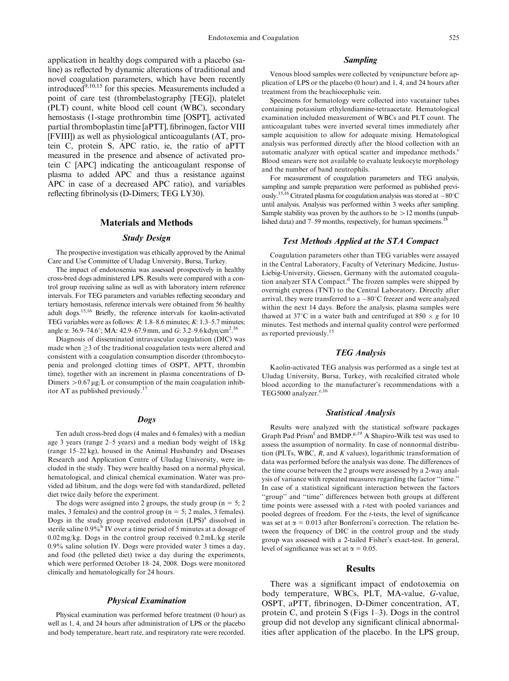application in healthy dogs compared with a placebo (saline) as reflected by dynamic alterations of traditional and novel coagulation parameters, which have been recently introduce $\overline{d}^{9,10,15}$  for this species. Measurements included a point of care test (thrombelastography [TEG]), platelet (PLT) count, white blood cell count (WBC), secondary hemostasis (1-stage prothrombin time [OSPT], activated partial thromboplastin time [aPTT], fibrinogen, factor VIII [FVIII]) as well as physiological anticoagulants (AT, protein C, protein S, APC ratio, ie, the ratio of aPTT measured in the presence and absence of activated protein C [APC] indicating the anticoagulant response of plasma to added APC and thus a resistance against APC in case of a decreased APC ratio), and variables reflecting fibrinolysis (D-Dimers; TEG LY30).

# Materials and Methods

#### Study Design

The prospective investigation was ethically approved by the Animal Care and Use Committee of Uludag University, Bursa, Turkey.

The impact of endotoxemia was assessed prospectively in healthy cross-bred dogs administered LPS. Results were compared with a control group receiving saline as well as with laboratory intern reference intervals. For TEG parameters and variables reflecting secondary and tertiary hemostasis, reference intervals were obtained from 56 healthy adult dogs.15,16 Briefly, the reference intervals for kaolin-activated TEG variables were as follows: R: 1.8–8.6 minutes; K: 1.3–5.7 minutes; angle  $\alpha$ : 36.9–74.6°; MA: 42.9–67.9 mm, and *G*: 3.2–9.6 kdyn/cm<sup>2</sup>.<sup>16</sup>

Diagnosis of disseminated intravascular coagulation (DIC) was made when  $\geq$ 3 of the traditional coagulation tests were altered and consistent with a coagulation consumption disorder (thrombocytopenia and prolonged clotting times of OSPT, APTT, thrombin time), together with an increment in plasma concentrations of D-Dimers  $> 0.67 \mu g/L$  or consumption of the main coagulation inhibitor AT as published previously.17

#### Dogs

Ten adult cross-bred dogs (4 males and 6 females) with a median age 3 years (range 2–5 years) and a median body weight of 18 kg (range 15–22 kg), housed in the Animal Husbandry and Diseases Research and Application Centre of Uludag University, were included in the study. They were healthy based on a normal physical, hematological, and clinical chemical examination. Water was provided ad libitum, and the dogs were fed with standardized, pelleted diet twice daily before the experiment.

The dogs were assigned into 2 groups, the study group ( $n = 5$ ; 2 males, 3 females) and the control group ( $n = 5$ ; 2 males, 3 females). Dogs in the study group received endotoxin  $(LPS)^{a}$  dissolved in sterile saline 0.9%<sup>b</sup> IV over a time period of 5 minutes at a dosage of  $0.02 \text{ mg/kg}$ . Dogs in the control group received  $0.2 \text{ mL/kg}$  sterile 0.9% saline solution IV. Dogs were provided water 3 times a day, and food (the pelleted diet) twice a day during the experiments, which were performed October 18–24, 2008. Dogs were monitored clinically and hematologically for 24 hours.

#### Physical Examination

Physical examination was performed before treatment (0 hour) as well as 1, 4, and 24 hours after administration of LPS or the placebo and body temperature, heart rate, and respiratory rate were recorded.

#### Sampling

Venous blood samples were collected by venipuncture before application of LPS or the placebo (0 hour) and 1, 4, and 24 hours after treatment from the brachiocephalic vein.

Specimens for hematology were collected into vacutainer tubes containing potassium ethylendiamine-tetraacetate. Hematological examination included measurement of WBCs and PLT count. The anticoagulant tubes were inverted several times immediately after sample acquisition to allow for adequate mixing. Hematological analysis was performed directly after the blood collection with an automatic analyzer with optical scatter and impedance methods.<sup>c</sup> Blood smears were not available to evaluate leukocyte morphology and the number of band neutrophils.

For measurement of coagulation parameters and TEG analysis, sampling and sample preparation were performed as published previously.<sup>15,16</sup> Citrated plasma for coagulation analysis was stored at  $-80^{\circ}$ C until analysis. Analysis was performed within 3 weeks after sampling. Sample stability was proven by the authors to be  $>12$  months (unpublished data) and 7–59 months, respectively, for human specimens.<sup>18</sup>

## Test Methods Applied at the STA Compact

Coagulation parameters other than TEG variables were assayed in the Central Laboratory, Faculty of Veterinary Medicine, Justus-Liebig-University, Giessen, Germany with the automated coagulation analyzer STA Compact.<sup>d</sup> The frozen samples were shipped by overnight express (TNT) to the Central Laboratory. Directly after arrival, they were transferred to a  $-80^{\circ}$ C freezer and were analyzed within the next 14 days. Before the analysis, plasma samples were thawed at 37°C in a water bath and centrifuged at 850  $\times$  g for 10 minutes. Test methods and internal quality control were performed as reported previously.<sup>15</sup>

## TEG Analysis

Kaolin-activated TEG analysis was performed as a single test at Uludag University, Bursa, Turkey, with recalcified citrated whole blood according to the manufacturer's recommendations with a TEG5000 analyzer.<sup>e,16</sup>

#### Statistical Analysis

Results were analyzed with the statistical software packages Graph Pad Prism<sup>f</sup> and BMDP.<sup>g,19</sup> A Shapiro-Wilk test was used to assess the assumption of normality. In case of nonnormal distribution (PLTs, WBC,  $R$ , and  $K$  values), logarithmic transformation of data was performed before the analysis was done. The differences of the time course between the 2 groups were assessed by a 2-way analysis of variance with repeated measures regarding the factor ''time.'' In case of a statistical significant interaction between the factors "group" and "time" differences between both groups at different time points were assessed with a t-test with pooled variances and pooled degrees of freedom. For the t-tests, the level of significance was set at  $\alpha = 0.013$  after Bonferroni's correction. The relation between the frequency of DIC in the control group and the study group was assessed with a 2-tailed Fisher's exact-test. In general, level of significance was set at  $\alpha = 0.05$ .

### Results

There was a significant impact of endotoxemia on body temperature, WBCs, PLT, MA-value, G-value, OSPT, aPTT, fibrinogen, D-Dimer concentration, AT, protein C, and protein S (Figs 1–3). Dogs in the control group did not develop any significant clinical abnormalities after application of the placebo. In the LPS group,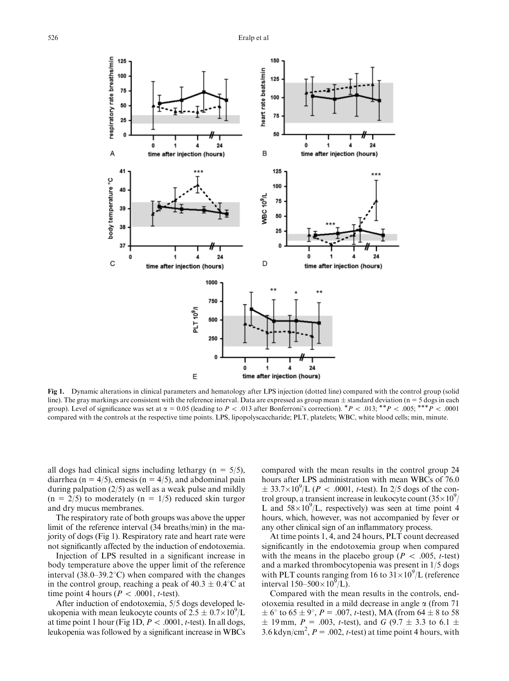

Fig 1. Dynamic alterations in clinical parameters and hematology after LPS injection (dotted line) compared with the control group (solid line). The gray markings are consistent with the reference interval. Data are expressed as group mean  $\pm$  standard deviation (n = 5 dogs in each group). Level of significance was set at  $\alpha = 0.05$  (leading to P < .013 after Bonferroni's correction).  ${}^{*}P$  < .013;  ${}^{**}P$  < .005;  ${}^{**}{}^{*}P$  < .0001 compared with the controls at the respective time points. LPS, lipopolyscaccharide; PLT, platelets; WBC, white blood cells; min, minute.

all dogs had clinical signs including lethargy ( $n = 5/5$ ), diarrhea (n = 4/5), emesis (n = 4/5), and abdominal pain during palpation (2/5) as well as a weak pulse and mildly  $(n = 2/5)$  to moderately  $(n = 1/5)$  reduced skin turgor and dry mucus membranes.

The respiratory rate of both groups was above the upper limit of the reference interval (34 breaths/min) in the majority of dogs (Fig 1). Respiratory rate and heart rate were not significantly affected by the induction of endotoxemia.

Injection of LPS resulted in a significant increase in body temperature above the upper limit of the reference interval  $(38.0-39.2^{\circ}C)$  when compared with the changes in the control group, reaching a peak of  $40.3 \pm 0.4$  °C at time point 4 hours ( $P < .0001$ , t-test).

After induction of endotoxemia, 5/5 dogs developed leukopenia with mean leukocyte counts of  $2.5 \pm 0.7 \times 10^9$ /L at time point 1 hour (Fig 1D,  $P < .0001$ , t-test). In all dogs, leukopenia was followed by a significant increase in WBCs compared with the mean results in the control group 24 hours after LPS administration with mean WBCs of 76.0  $\pm 33.7 \times 10^{9}$ /L (*P* < .0001, *t*-test). In 2/5 dogs of the control group, a transient increase in leukocyte count  $(35\times10^9)$ L and  $58 \times 10^9$ /L, respectively) was seen at time point 4 hours, which, however, was not accompanied by fever or any other clinical sign of an inflammatory process.

At time points 1, 4, and 24 hours, PLT count decreased significantly in the endotoxemia group when compared with the means in the placebo group ( $P < .005$ , t-test) and a marked thrombocytopenia was present in 1/5 dogs with PLT counts ranging from 16 to  $31 \times 10^9$ /L (reference interval  $150-500\times10^9$ /L).

Compared with the mean results in the controls, endotoxemia resulted in a mild decrease in angle  $\alpha$  (from 71)  $\pm 6^{\circ}$  to  $65 \pm 9^{\circ}$ ,  $P = .007$ , *t*-test), MA (from  $64 \pm 8$  to 58  $\pm$  19 mm,  $P = .003$ , *t*-test), and G (9.7  $\pm$  3.3 to 6.1  $\pm$ 3.6 kdyn/cm<sup>2</sup>,  $P = .002$ , t-test) at time point 4 hours, with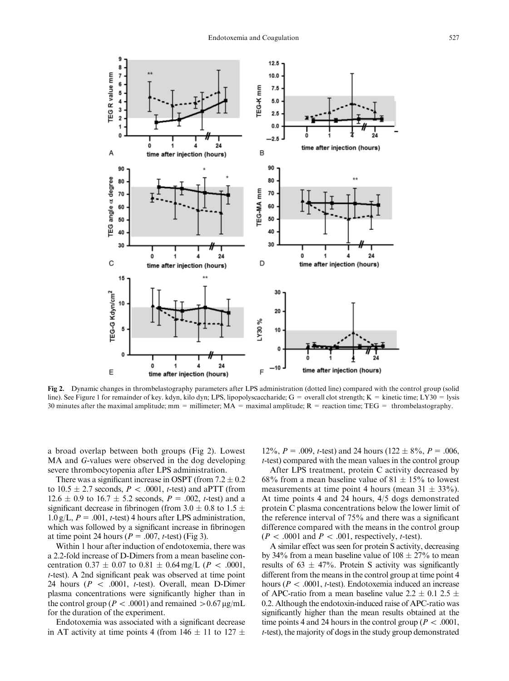

Fig 2. Dynamic changes in thrombelastography parameters after LPS administration (dotted line) compared with the control group (solid line). See Figure 1 for remainder of key. kdyn, kilo dyn; LPS, lipopolyscaccharide;  $G =$  overall clot strength;  $K =$  kinetic time; LY30 = lysis 30 minutes after the maximal amplitude; mm = millimeter;  $MA =$  maximal amplitude;  $R =$  reaction time;  $TEG =$  thrombelastography.

a broad overlap between both groups (Fig 2). Lowest MA and G-values were observed in the dog developing severe thrombocytopenia after LPS administration.

There was a significant increase in OSPT (from  $7.2 \pm 0.2$ ) to  $10.5 \pm 2.7$  seconds,  $P < .0001$ , *t*-test) and aPTT (from  $12.6 \pm 0.9$  to  $16.7 \pm 5.2$  seconds,  $P = .002$ , *t*-test) and a significant decrease in fibrinogen (from 3.0  $\pm$  0.8 to 1.5  $\pm$  $1.0 \text{ g/L}, P = .001$ , t-test) 4 hours after LPS administration, which was followed by a significant increase in fibrinogen at time point 24 hours ( $P = .007$ , t-test) (Fig 3).

Within 1 hour after induction of endotoxemia, there was a 2.2-fold increase of D-Dimers from a mean baseline concentration  $0.37 \pm 0.07$  to  $0.81 \pm 0.64$  mg/L (*P < .*0001, t-test). A 2nd significant peak was observed at time point 24 hours ( $P < .0001$ , t-test). Overall, mean D-Dimer plasma concentrations were significantly higher than in the control group ( $P < .0001$ ) and remained  $> 0.67 \,\mu$ g/mL for the duration of the experiment.

Endotoxemia was associated with a significant decrease in AT activity at time points 4 (from  $146 \pm 11$  to  $127 \pm 12$ 

12%,  $P = .009$ , *t*-test) and 24 hours (122  $\pm$  8%,  $P = .006$ , t-test) compared with the mean values in the control group

After LPS treatment, protein C activity decreased by 68% from a mean baseline value of  $81 \pm 15$ % to lowest measurements at time point 4 hours (mean  $31 \pm 33\%$ ). At time points 4 and 24 hours, 4/5 dogs demonstrated protein C plasma concentrations below the lower limit of the reference interval of 75% and there was a significant difference compared with the means in the control group  $(P < .0001$  and  $P < .001$ , respectively, *t*-test).

A similar effect was seen for protein S activity, decreasing by 34% from a mean baseline value of  $108 \pm 27$ % to mean results of 63  $\pm$  47%. Protein S activity was significantly different from the means in the control group at time point 4 hours ( $P < .0001$ , t-test). Endotoxemia induced an increase of APC-ratio from a mean baseline value  $2.2 \pm 0.1$   $2.5 \pm 1$ 0.2. Although the endotoxin-induced raise of APC-ratio was significantly higher than the mean results obtained at the time points 4 and 24 hours in the control group ( $P < .0001$ , t-test), the majority of dogs in the study group demonstrated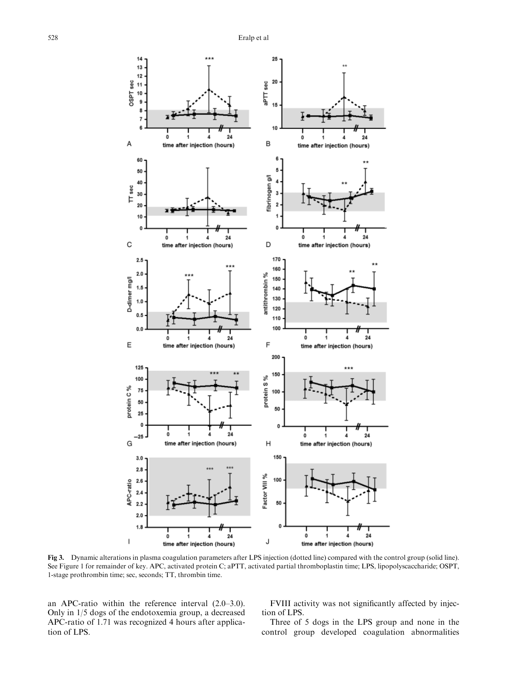

Fig 3. Dynamic alterations in plasma coagulation parameters after LPS injection (dotted line) compared with the control group (solid line). See Figure 1 for remainder of key. APC, activated protein C; aPTT, activated partial thromboplastin time; LPS, lipopolyscaccharide; OSPT, 1-stage prothrombin time; sec, seconds; TT, thrombin time.

an APC-ratio within the reference interval (2.0–3.0). Only in 1/5 dogs of the endotoxemia group, a decreased APC-ratio of 1.71 was recognized 4 hours after application of LPS.

FVIII activity was not significantly affected by injection of LPS.

Three of 5 dogs in the LPS group and none in the control group developed coagulation abnormalities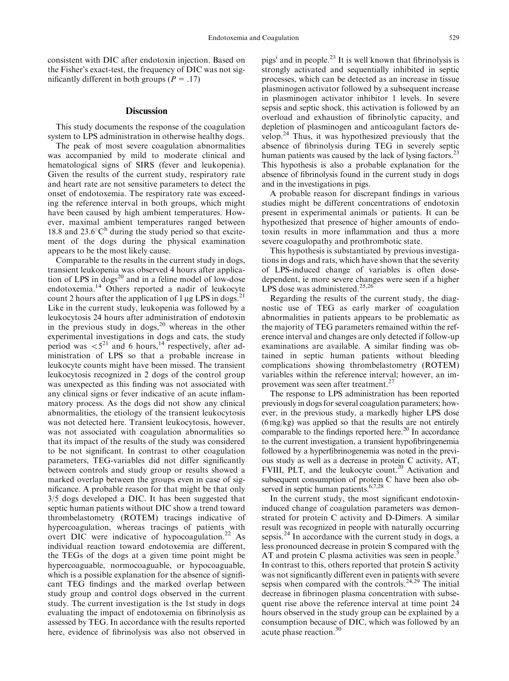consistent with DIC after endotoxin injection. Based on the Fisher's exact-test, the frequency of DIC was not significantly different in both groups ( $P = .17$ )

## **Discussion**

This study documents the response of the coagulation system to LPS administration in otherwise healthy dogs.

The peak of most severe coagulation abnormalities was accompanied by mild to moderate clinical and hematological signs of SIRS (fever and leukopenia). Given the results of the current study, respiratory rate and heart rate are not sensitive parameters to detect the onset of endotoxemia. The respiratory rate was exceeding the reference interval in both groups, which might have been caused by high ambient temperatures. However, maximal ambient temperatures ranged between 18.8 and  $23.6^{\circ}C^{\text{h}}$  during the study period so that excitement of the dogs during the physical examination appears to be the most likely cause.

Comparable to the results in the current study in dogs, transient leukopenia was observed 4 hours after application of LPS in dogs<sup>20</sup> and in a feline model of low-dose endotoxemia.14 Others reported a nadir of leukocyte count 2 hours after the application of 1  $\mu$ g LPS in dogs.<sup>21</sup> Like in the current study, leukopenia was followed by a leukocytosis 24 hours after administration of endotoxin in the previous study in  $\text{dogs}^{20}$ , whereas in the other experimental investigations in dogs and cats, the study period was  $\langle 5^{21} \rangle$  and 6 hours,<sup>14</sup> respectively, after administration of LPS so that a probable increase in leukocyte counts might have been missed. The transient leukocytosis recognized in 2 dogs of the control group was unexpected as this finding was not associated with any clinical signs or fever indicative of an acute inflammatory process. As the dogs did not show any clinical abnormalities, the etiology of the transient leukocytosis was not detected here. Transient leukocytosis, however, was not associated with coagulation abnormalities so that its impact of the results of the study was considered to be not significant. In contrast to other coagulation parameters, TEG-variables did not differ significantly between controls and study group or results showed a marked overlap between the groups even in case of significance. A probable reason for that might be that only 3/5 dogs developed a DIC. It has been suggested that septic human patients without DIC show a trend toward thrombelastometry (ROTEM) tracings indicative of hypercoagulation, whereas tracings of patients with overt DIC were indicative of hypocoagulation.<sup>22</sup> As individual reaction toward endotoxemia are different, the TEGs of the dogs at a given time point might be hypercoaguable, normocoaguable, or hypocoaguable, which is a possible explanation for the absence of significant TEG findings and the marked overlap between study group and control dogs observed in the current study. The current investigation is the 1st study in dogs evaluating the impact of endotoxemia on fibrinolysis as assessed by TEG. In accordance with the results reported here, evidence of fibrinolysis was also not observed in

pigs<sup>i</sup> and in people.<sup>23</sup> It is well known that fibrinolysis is strongly activated and sequentially inhibited in septic processes, which can be detected as an increase in tissue plasminogen activator followed by a subsequent increase in plasminogen activator inhibitor 1 levels. In severe sepsis and septic shock, this activation is followed by an overload and exhaustion of fibrinolytic capacity, and depletion of plasminogen and anticoagulant factors develop.<sup>24</sup> Thus, it was hypothesized previously that the absence of fibrinolysis during TEG in severely septic human patients was caused by the lack of lysing factors.<sup>23</sup> This hypothesis is also a probable explanation for the absence of fibrinolysis found in the current study in dogs and in the investigations in pigs.

A probable reason for discrepant findings in various studies might be different concentrations of endotoxin present in experimental animals or patients. It can be hypothesized that presence of higher amounts of endotoxin results in more inflammation and thus a more severe coagulopathy and prothrombotic state.

This hypothesis is substantiated by previous investigations in dogs and rats, which have shown that the severity of LPS-induced change of variables is often dosedependent, ie more severe changes were seen if a higher LPS dose was administered.<sup>25,26</sup>

Regarding the results of the current study, the diagnostic use of TEG as early marker of coagulation abnormalities in patients appears to be problematic as the majority of TEG parameters remained within the reference interval and changes are only detected if follow-up examinations are available. A similar finding was obtained in septic human patients without bleeding complications showing thrombelastometry (ROTEM) variables within the reference interval; however, an improvement was seen after treatment.<sup>27</sup>

The response to LPS administration has been reported previously in dogs for several coagulation parameters; however, in the previous study, a markedly higher LPS dose (6 mg/kg) was applied so that the results are not entirely comparable to the findings reported here.<sup>20</sup> In accordance to the current investigation, a transient hypofibringenemia followed by a hyperfibrinogenemia was noted in the previous study as well as a decrease in protein C activity, AT, FVIII, PLT, and the leukocyte count.<sup>20</sup> Activation and subsequent consumption of protein C have been also observed in septic human patients.<sup>6,7,28</sup>

In the current study, the most significant endotoxininduced change of coagulation parameters was demonstrated for protein C activity and D-Dimers. A similar result was recognized in people with naturally occurring sepsis.<sup>24</sup> In accordance with the current study in dogs, a less pronounced decrease in protein S compared with the AT and protein C plasma activities was seen in people.<sup>5</sup> In contrast to this, others reported that protein S activity was not significantly different even in patients with severe sepsis when compared with the controls.<sup>24,29</sup> The initial decrease in fibrinogen plasma concentration with subsequent rise above the reference interval at time point 24 hours observed in the study group can be explained by a consumption because of DIC, which was followed by an acute phase reaction.<sup>30</sup>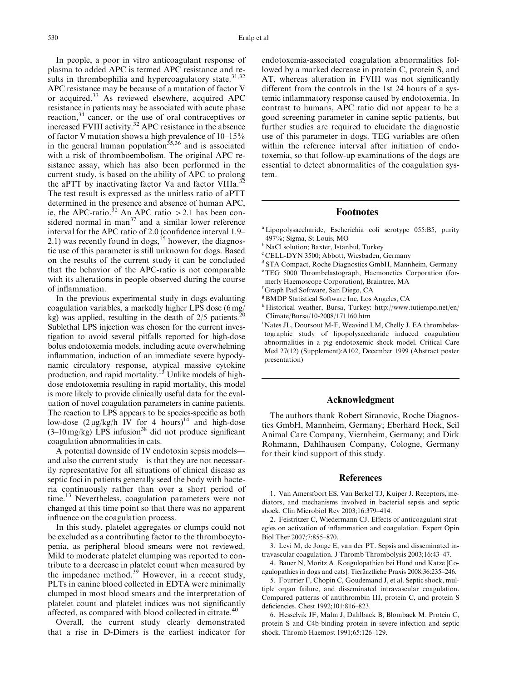In people, a poor in vitro anticoagulant response of plasma to added APC is termed APC resistance and results in thrombophilia and hypercoagulatory state. $31,32$ APC resistance may be because of a mutation of factor V or acquired.<sup>33</sup> As reviewed elsewhere, acquired APC resistance in patients may be associated with acute phase reaction,<sup>34</sup> cancer, or the use of oral contraceptives or increased FVIII activity.<sup>32</sup> APC resistance in the absence of factor V mutation shows a high prevalence of 10–15% in the general human population<sup>35,36</sup> and is associated with a risk of thromboembolism. The original APC resistance assay, which has also been performed in the current study, is based on the ability of APC to prolong the aPTT by inactivating factor Va and factor VIIIa. $^{32}$ The test result is expressed as the unitless ratio of aPTT determined in the presence and absence of human APC, ie, the APC-ratio.<sup>32</sup> An APC ratio > 2.1 has been considered normal in man<sup>37</sup> and a similar lower reference interval for the APC ratio of 2.0 (confidence interval 1.9– 2.1) was recently found in dogs,<sup>15</sup> however, the diagnostic use of this parameter is still unknown for dogs. Based on the results of the current study it can be concluded that the behavior of the APC-ratio is not comparable with its alterations in people observed during the course of inflammation.

In the previous experimental study in dogs evaluating coagulation variables, a markedly higher LPS dose (6 mg/ kg) was applied, resulting in the death of  $2/5$  patients. Sublethal LPS injection was chosen for the current investigation to avoid several pitfalls reported for high-dose bolus endotoxemia models, including acute overwhelming inflammation, induction of an immediate severe hypodynamic circulatory response, atypical massive cytokine production, and rapid mortality.<sup>13</sup> Unlike models of highdose endotoxemia resulting in rapid mortality, this model is more likely to provide clinically useful data for the evaluation of novel coagulation parameters in canine patients. The reaction to LPS appears to be species-specific as both low-dose  $(2 \mu g/kg/h$  IV for 4 hours)<sup>14</sup> and high-dose  $(3-10 \text{ mg/kg})$  LPS infusion<sup>38</sup> did not produce significant coagulation abnormalities in cats.

A potential downside of IV endotoxin sepsis models and also the current study—is that they are not necessarily representative for all situations of clinical disease as septic foci in patients generally seed the body with bacteria continuously rather than over a short period of time.<sup>13</sup> Nevertheless, coagulation parameters were not changed at this time point so that there was no apparent influence on the coagulation process.

In this study, platelet aggregates or clumps could not be excluded as a contributing factor to the thrombocytopenia, as peripheral blood smears were not reviewed. Mild to moderate platelet clumping was reported to contribute to a decrease in platelet count when measured by the impedance method. $39$  However, in a recent study, PLTs in canine blood collected in EDTA were minimally clumped in most blood smears and the interpretation of platelet count and platelet indices was not significantly affected, as compared with blood collected in citrate.<sup>40</sup>

Overall, the current study clearly demonstrated that a rise in D-Dimers is the earliest indicator for endotoxemia-associated coagulation abnormalities followed by a marked decrease in protein C, protein S, and AT, whereas alteration in FVIII was not significantly different from the controls in the 1st 24 hours of a systemic inflammatory response caused by endotoxemia. In contrast to humans, APC ratio did not appear to be a good screening parameter in canine septic patients, but further studies are required to elucidate the diagnostic use of this parameter in dogs. TEG variables are often within the reference interval after initiation of endotoxemia, so that follow-up examinations of the dogs are essential to detect abnormalities of the coagulation system.

# Footnotes

- <sup>a</sup> Lipopolysaccharide, Escherichia coli serotype 055:B5, purity 497%; Sigma, St Louis, MO
- <sup>b</sup> NaCl solution; Baxter, Istanbul, Turkey
- c CELL-DYN 3500; Abbott, Wiesbaden, Germany
- <sup>d</sup> STA Compact, Roche Diagnostics GmbH, Mannheim, Germany
- e TEG 5000 Thrombelastograph, Haemonetics Corporation (formerly Haemoscope Corporation), Braintree, MA
- f Graph Pad Software, San Diego, CA
- <sup>g</sup> BMDP Statistical Software Inc, Los Angeles, CA
- <sup>h</sup> Historical weather, Bursa, Turkey: [http://www.tutiempo.net/en/](http://www.tutiempo.net/en/Climate/Bursa/10-2008/171160.htm) [Climate/Bursa/10-2008/171160.htm](http://www.tutiempo.net/en/Climate/Bursa/10-2008/171160.htm)
- <sup>i</sup> Nates JL, Doursout M-F, Weavind LM, Chelly J. EA thrombelastographic study of lipopolysaccharide induced coagulation abnormalities in a pig endotoxemic shock model. Critical Care Med 27(12) (Supplement):A102, December 1999 (Abstract poster presentation)

## Acknowledgment

The authors thank Robert Siranovic, Roche Diagnostics GmbH, Mannheim, Germany; Eberhard Hock, Scil Animal Care Company, Viernheim, Germany; and Dirk Rohmann, Dahlhausen Company, Cologne, Germany for their kind support of this study.

## References

1. Van Amersfoort ES, Van Berkel TJ, Kuiper J. Receptors, mediators, and mechanisms involved in bacterial sepsis and septic shock. Clin Microbiol Rev 2003;16:379–414.

2. Feistritzer C, Wiedermann CJ. Effects of anticoagulant strategies on activation of inflammation and coagulation. Expert Opin Biol Ther 2007;7:855–870.

3. Levi M, de Jonge E, van der PT. Sepsis and disseminated intravascular coagulation. J Thromb Thrombolysis 2003;16:43–47.

4. Bauer N, Moritz A. Koagulopathien bei Hund und Katze [Coagulopathies in dogs and cats]. Tierärztliche Praxis 2008;36:235-246.

5. Fourrier F, Chopin C, Goudemand J, et al. Septic shock, multiple organ failure, and disseminated intravascular coagulation. Compared patterns of antithrombin III, protein C, and protein S deficiencies. Chest 1992;101:816–823.

6. Hesselvik JF, Malm J, Dahlback B, Blomback M. Protein C, protein S and C4b-binding protein in severe infection and septic shock. Thromb Haemost 1991;65:126–129.